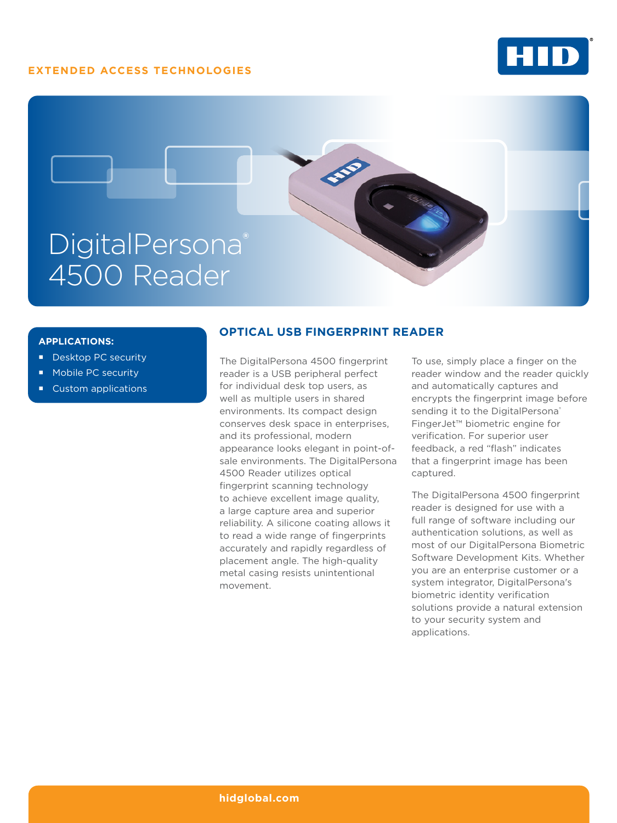## **EXTENDED ACCESS TECHNOLOGIES**





#### **APPLICATIONS:**

- Desktop PC security
- Mobile PC security
- **Custom applications**

### **OPTICAL USB FINGERPRINT READER**

The DigitalPersona 4500 fingerprint reader is a USB peripheral perfect for individual desk top users, as well as multiple users in shared environments. Its compact design conserves desk space in enterprises, and its professional, modern appearance looks elegant in point-ofsale environments. The DigitalPersona 4500 Reader utilizes optical fingerprint scanning technology to achieve excellent image quality, a large capture area and superior reliability. A silicone coating allows it to read a wide range of fingerprints accurately and rapidly regardless of placement angle. The high-quality metal casing resists unintentional movement.

To use, simply place a finger on the reader window and the reader quickly and automatically captures and encrypts the fingerprint image before sending it to the DigitalPersona® FingerJet™ biometric engine for verification. For superior user feedback, a red "flash" indicates that a fingerprint image has been captured.

The DigitalPersona 4500 fingerprint reader is designed for use with a full range of software including our authentication solutions, as well as most of our DigitalPersona Biometric Software Development Kits. Whether you are an enterprise customer or a system integrator, DigitalPersona's biometric identity verification solutions provide a natural extension to your security system and applications.